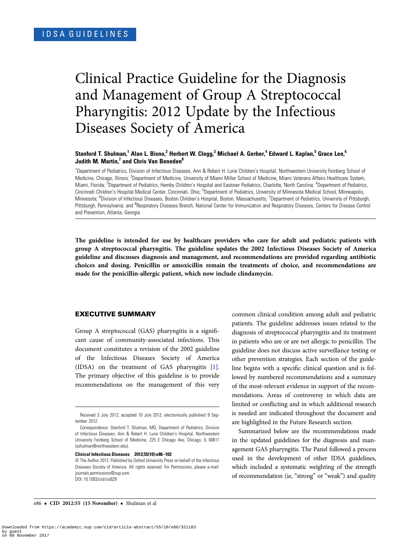# Clinical Practice Guideline for the Diagnosis and Management of Group A Streptococcal Pharyngitis: 2012 Update by the Infectious Diseases Society of America

#### Stanford T. Shulman,<sup>1</sup> Alan L. Bisno,<sup>2</sup> Herbert W. Clegg,<sup>3</sup> Michael A. Gerber,<sup>4</sup> Edward L. Kaplan,<sup>5</sup> Grace Lee,<sup>6</sup> Judith M. Martin.<sup>7</sup> and Chris Van Beneden<sup>8</sup>

<sup>1</sup>Department of Pediatrics, Division of Infectious Diseases, Ann & Robert H. Lurie Children's Hospital, Northwestern University Feinberg School of Medicine, Chicago, Illinois; <sup>2</sup>Department of Medicine, University of Miami Miller School of Medicine, Miami Veterans Affairs Healthcare System, Miami, Florida; <sup>3</sup>Department of Pediatrics, Hemby Children's Hospital and Eastover Pediatrics, Charlotte, North Carolina; <sup>4</sup>Department of Pediatrics, Cincinnati Children's Hospital Medical Center, Cincinnati, Ohio; <sup>5</sup>Department of Pediatrics, University of Minnesota Medical School, Minneapolis, Minnesota; <sup>6</sup>Division of Infectious Diseases, Boston Children's Hospital, Boston, Massachusetts; <sup>7</sup>Department of Pediatrics, University of Pittsburgh, Pittsburgh, Pennsylvania; and <sup>8</sup>Respiratory Diseases Branch, National Center for Immunization and Respiratory Diseases, Centers for Disease Control and Prevention, Atlanta, Georgia

The guideline is intended for use by healthcare providers who care for adult and pediatric patients with group A streptococcal pharyngitis. The guideline updates the 2002 Infectious Diseases Society of America guideline and discusses diagnosis and management, and recommendations are provided regarding antibiotic choices and dosing. Penicillin or amoxicillin remain the treatments of choice, and recommendations are made for the penicillin-allergic patient, which now include clindamycin.

#### EXECUTIVE SUMMARY

Group A streptococcal (GAS) pharyngitis is a significant cause of community-associated infections. This document constitutes a revision of the 2002 guideline of the Infectious Diseases Society of America (IDSA) on the treatment of GAS pharyngitis [[1\]](#page-13-0). The primary objective of this guideline is to provide recommendations on the management of this very

Clinical Infectious Diseases 2012;55(10):e86–102

common clinical condition among adult and pediatric patients. The guideline addresses issues related to the diagnosis of streptococcal pharyngitis and its treatment in patients who are or are not allergic to penicillin. The guideline does not discuss active surveillance testing or other prevention strategies. Each section of the guideline begins with a specific clinical question and is followed by numbered recommendations and a summary of the most-relevant evidence in support of the recommendations. Areas of controversy in which data are limited or conflicting and in which additional research is needed are indicated throughout the document and are highlighted in the Future Research section.

Summarized below are the recommendations made in the updated guidelines for the diagnosis and management GAS pharyngitis. The Panel followed a process used in the development of other IDSA guidelines, which included a systematic weighting of the strength of recommendation (ie, "strong" or "weak") and quality

Received 3 July 2012; accepted 10 July 2012; electronically published 9 September 2012.

Correspondence: Stanford T. Shulman, MD, Department of Pediatrics, Division of Infectious Diseases, Ann & Robert H. Lurie Children's Hospital, Northwestern University Feinberg School of Medicine, 225 E Chicago Ave, Chicago, IL 60611 [\(sshulman@northwestern.edu\)](mailto:sshulman@northwestern.edu).

<sup>©</sup> The Author 2012. Published by Oxford University Press on behalf of the Infectious Diseases Society of America. All rights reserved. For Permissions, please e-mail: [journals.permissions@oup.com](mailto:journals.permissions@oup.com). DOI: 10.1093/cid/cis629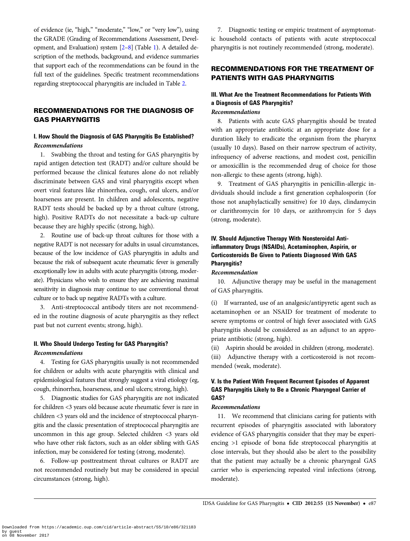of evidence (ie, "high," "moderate," "low," or "very low"), using the GRADE (Grading of Recommendations Assessment, Development, and Evaluation) system [\[2](#page-13-0)–[8\]](#page-13-0) (Table [1](#page-2-0)). A detailed description of the methods, background, and evidence summaries that support each of the recommendations can be found in the full text of the guidelines. Specific treatment recommendations regarding streptococcal pharyngitis are included in Table [2](#page-3-0).

# RECOMMENDATIONS FOR THE DIAGNOSIS OF GAS PHARYNGITIS

# I. How Should the Diagnosis of GAS Pharyngitis Be Established? Recommendations

1. Swabbing the throat and testing for GAS pharyngitis by rapid antigen detection test (RADT) and/or culture should be performed because the clinical features alone do not reliably discriminate between GAS and viral pharyngitis except when overt viral features like rhinorrhea, cough, oral ulcers, and/or hoarseness are present. In children and adolescents, negative RADT tests should be backed up by a throat culture (strong, high). Positive RADTs do not necessitate a back-up culture because they are highly specific (strong, high).

2. Routine use of back-up throat cultures for those with a negative RADT is not necessary for adults in usual circumstances, because of the low incidence of GAS pharyngitis in adults and because the risk of subsequent acute rheumatic fever is generally exceptionally low in adults with acute pharyngitis (strong, moderate). Physicians who wish to ensure they are achieving maximal sensitivity in diagnosis may continue to use conventional throat culture or to back up negative RADTs with a culture.

3. Anti-streptococcal antibody titers are not recommended in the routine diagnosis of acute pharyngitis as they reflect past but not current events; strong, high).

# II. Who Should Undergo Testing for GAS Pharyngitis? Recommendations

4. Testing for GAS pharyngitis usually is not recommended for children or adults with acute pharyngitis with clinical and epidemiological features that strongly suggest a viral etiology (eg, cough, rhinorrhea, hoarseness, and oral ulcers; strong, high).

5. Diagnostic studies for GAS pharyngitis are not indicated for children <3 years old because acute rheumatic fever is rare in children <3 years old and the incidence of streptococcal pharyngitis and the classic presentation of streptococcal pharyngitis are uncommon in this age group. Selected children <3 years old who have other risk factors, such as an older sibling with GAS infection, may be considered for testing (strong, moderate).

6. Follow-up posttreatment throat cultures or RADT are not recommended routinely but may be considered in special circumstances (strong, high).

7. Diagnostic testing or empiric treatment of asymptomatic household contacts of patients with acute streptococcal pharyngitis is not routinely recommended (strong, moderate).

# RECOMMENDATIONS FOR THE TREATMENT OF PATIENTS WITH GAS PHARYNGITIS

# III. What Are the Treatment Recommendations for Patients With a Diagnosis of GAS Pharyngitis? Recommendations

8. Patients with acute GAS pharyngitis should be treated with an appropriate antibiotic at an appropriate dose for a duration likely to eradicate the organism from the pharynx (usually 10 days). Based on their narrow spectrum of activity, infrequency of adverse reactions, and modest cost, penicillin or amoxicillin is the recommended drug of choice for those non-allergic to these agents (strong, high).

9. Treatment of GAS pharyngitis in penicillin-allergic individuals should include a first generation cephalosporin (for those not anaphylactically sensitive) for 10 days, clindamycin or clarithromycin for 10 days, or azithromycin for 5 days (strong, moderate).

# IV. Should Adjunctive Therapy With Nonsteroidal Antiinflammatory Drugs (NSAIDs), Acetaminophen, Aspirin, or Corticosteroids Be Given to Patients Diagnosed With GAS Pharyngitis?

#### Recommendation

10. Adjunctive therapy may be useful in the management of GAS pharyngitis.

(i) If warranted, use of an analgesic/antipyretic agent such as acetaminophen or an NSAID for treatment of moderate to severe symptoms or control of high fever associated with GAS pharyngitis should be considered as an adjunct to an appropriate antibiotic (strong, high).

(ii) Aspirin should be avoided in children (strong, moderate). (iii) Adjunctive therapy with a corticosteroid is not recommended (weak, moderate).

# V. Is the Patient With Frequent Recurrent Episodes of Apparent GAS Pharyngitis Likely to Be a Chronic Pharyngeal Carrier of GAS?

## Recommendations

11. We recommend that clinicians caring for patients with recurrent episodes of pharyngitis associated with laboratory evidence of GAS pharyngitis consider that they may be experiencing >1 episode of bona fide streptococcal pharyngitis at close intervals, but they should also be alert to the possibility that the patient may actually be a chronic pharyngeal GAS carrier who is experiencing repeated viral infections (strong, moderate).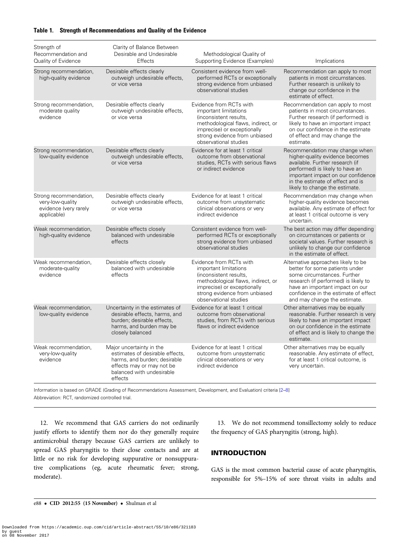| Strength of<br>Recommendation and<br>Quality of Evidence                           | Clarity of Balance Between<br>Desirable and Undesirable<br><b>Fffects</b>                                                                                        | Methodological Quality of<br>Supporting Evidence (Examples)                                                                                                                                               | Implications                                                                                                                                                                                                                                            |
|------------------------------------------------------------------------------------|------------------------------------------------------------------------------------------------------------------------------------------------------------------|-----------------------------------------------------------------------------------------------------------------------------------------------------------------------------------------------------------|---------------------------------------------------------------------------------------------------------------------------------------------------------------------------------------------------------------------------------------------------------|
| Strong recommendation,<br>high-quality evidence                                    | Desirable effects clearly<br>outweigh undesirable effects,<br>or vice versa                                                                                      | Consistent evidence from well-<br>performed RCTs or exceptionally<br>strong evidence from unbiased<br>observational studies                                                                               | Recommendation can apply to most<br>patients in most circumstances.<br>Further research is unlikely to<br>change our confidence in the<br>estimate of effect.                                                                                           |
| Strong recommendation,<br>moderate quality<br>evidence                             | Desirable effects clearly<br>outweigh undesirable effects,<br>or vice versa                                                                                      | Evidence from RCTs with<br>important limitations<br>(inconsistent results,<br>methodological flaws, indirect, or<br>imprecise) or exceptionally<br>strong evidence from unbiased<br>observational studies | Recommendation can apply to most<br>patients in most circumstances.<br>Further research (if performed) is<br>likely to have an important impact<br>on our confidence in the estimate<br>of effect and may change the<br>estimate.                       |
| Strong recommendation,<br>low-quality evidence                                     | Desirable effects clearly<br>outweigh undesirable effects,<br>or vice versa                                                                                      | Evidence for at least 1 critical<br>outcome from observational<br>studies, RCTs with serious flaws<br>or indirect evidence                                                                                | Recommendation may change when<br>higher-quality evidence becomes<br>available. Further research (if<br>performed) is likely to have an<br>important impact on our confidence<br>in the estimate of effect and is<br>likely to change the estimate.     |
| Strong recommendation,<br>very-low-quality<br>evidence (very rarely<br>applicable) | Desirable effects clearly<br>outweigh undesirable effects,<br>or vice versa                                                                                      | Evidence for at least 1 critical<br>outcome from unsystematic<br>clinical observations or very<br>indirect evidence                                                                                       | Recommendation may change when<br>higher-quality evidence becomes<br>available. Any estimate of effect for<br>at least 1 critical outcome is very<br>uncertain.                                                                                         |
| Weak recommendation,<br>high-quality evidence                                      | Desirable effects closely<br>balanced with undesirable<br>effects                                                                                                | Consistent evidence from well-<br>performed RCTs or exceptionally<br>strong evidence from unbiased<br>observational studies                                                                               | The best action may differ depending<br>on circumstances or patients or<br>societal values. Further research is<br>unlikely to change our confidence<br>in the estimate of effect.                                                                      |
| Weak recommendation,<br>moderate-quality<br>evidence                               | Desirable effects closely<br>balanced with undesirable<br>effects                                                                                                | Evidence from RCTs with<br>important limitations<br>(inconsistent results,<br>methodological flaws, indirect, or<br>imprecise) or exceptionally<br>strong evidence from unbiased<br>observational studies | Alternative approaches likely to be<br>better for some patients under<br>some circumstances. Further<br>research (if performed) is likely to<br>have an important impact on our<br>confidence in the estimate of effect<br>and may change the estimate. |
| Weak recommendation,<br>low-quality evidence                                       | Uncertainty in the estimates of<br>desirable effects, harms, and<br>burden; desirable effects,<br>harms, and burden may be<br>closely balanced                   | Evidence for at least 1 critical<br>outcome from observational<br>studies, from RCTs with serious<br>flaws or indirect evidence                                                                           | Other alternatives may be equally<br>reasonable. Further research is very<br>likely to have an important impact<br>on our confidence in the estimate<br>of effect and is likely to change the<br>estimate.                                              |
| Weak recommendation,<br>very-low-quality<br>evidence                               | Major uncertainty in the<br>estimates of desirable effects,<br>harms, and burden; desirable<br>effects may or may not be<br>balanced with undesirable<br>effects | Evidence for at least 1 critical<br>outcome from unsystematic<br>clinical observations or very<br>indirect evidence                                                                                       | Other alternatives may be equally<br>reasonable. Any estimate of effect,<br>for at least 1 critical outcome, is<br>very uncertain.                                                                                                                      |

#### <span id="page-2-0"></span>Table 1. Strength of Recommendations and Quality of the Evidence

Information is based on GRADE (Grading of Recommendations Assessment, Development, and Evaluation) criteria [\[2](#page-13-0)–[8\]](#page-13-0) Abbreviation: RCT, randomized controlled trial.

12. We recommend that GAS carriers do not ordinarily justify efforts to identify them nor do they generally require antimicrobial therapy because GAS carriers are unlikely to spread GAS pharyngitis to their close contacts and are at little or no risk for developing suppurative or nonsuppurative complications (eg, acute rheumatic fever; strong, moderate).

13. We do not recommend tonsillectomy solely to reduce the frequency of GAS pharyngitis (strong, high).

# INTRODUCTION

GAS is the most common bacterial cause of acute pharyngitis, responsible for 5%–15% of sore throat visits in adults and

e88 • CID 2012:55 (15 November) • Shulman et al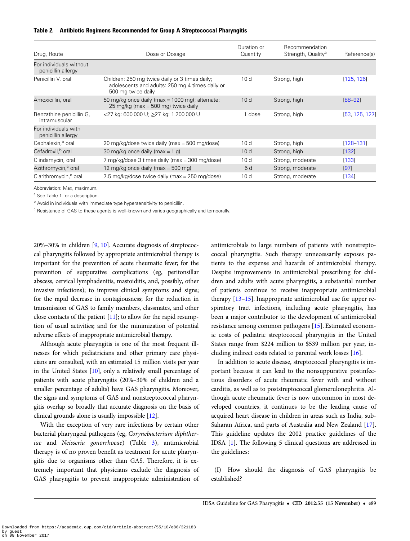#### <span id="page-3-0"></span>Table 2. Antibiotic Regimens Recommended for Group A Streptococcal Pharyngitis

| Drug, Route                                   | Dose or Dosage                                                                                                          | Duration or<br>Quantity | Recommendation<br>Strength, Quality <sup>a</sup> | Reference(s)   |
|-----------------------------------------------|-------------------------------------------------------------------------------------------------------------------------|-------------------------|--------------------------------------------------|----------------|
| For individuals without<br>penicillin allergy |                                                                                                                         |                         |                                                  |                |
| Penicillin V, oral                            | Children: 250 mg twice daily or 3 times daily;<br>adolescents and adults: 250 mg 4 times daily or<br>500 mg twice daily | 10d                     | Strong, high                                     | [125, 126]     |
| Amoxicillin, oral                             | 50 mg/kg once daily (max = $1000$ mg); alternate:<br>$25 \text{ mg/kg}$ (max = 500 mg) twice daily                      | 10d                     | Strong, high                                     | $[88 - 92]$    |
| Benzathine penicillin G,<br>intramuscular     | <27 kg: 600 000 U; ≥27 kg: 1 200 000 U                                                                                  | dose                    | Strong, high                                     | [53, 125, 127] |
| For individuals with<br>penicillin allergy    |                                                                                                                         |                         |                                                  |                |
| Cephalexin, <sup>b</sup> oral                 | 20 mg/kg/dose twice daily (max = 500 mg/dose)                                                                           | 10d                     | Strong, high                                     | $[128 - 131]$  |
| Cefadroxil, <sup>b</sup> oral                 | 30 mg/kg once daily (max = $1$ g)                                                                                       | 10d                     | Strong, high                                     | [132]          |
| Clindamycin, oral                             | 7 mg/kg/dose 3 times daily (max = 300 mg/dose)                                                                          | 10d                     | Strong, moderate                                 | [133]          |
| Azithromycin, <sup>c</sup> oral               | 12 mg/kg once daily (max $=$ 500 mg)                                                                                    | 5d                      | Strong, moderate                                 | [97]           |
| Clarithromycin, <sup>c</sup> oral             | 7.5 mg/kg/dose twice daily (max = 250 mg/dose)                                                                          | 10d                     | Strong, moderate                                 | [134]          |

Abbreviation: Max, maximum.

<sup>a</sup> See Table 1 for a description.

b Avoid in individuals with immediate type hypersensitivity to penicillin.

<sup>c</sup> Resistance of GAS to these agents is well-known and varies geographically and temporally.

20%–30% in children [[9](#page-13-0), [10\]](#page-13-0). Accurate diagnosis of streptococcal pharyngitis followed by appropriate antimicrobial therapy is important for the prevention of acute rheumatic fever; for the prevention of suppurative complications (eg, peritonsillar abscess, cervical lymphadenitis, mastoiditis, and, possibly, other invasive infections); to improve clinical symptoms and signs; for the rapid decrease in contagiousness; for the reduction in transmission of GAS to family members, classmates, and other close contacts of the patient  $[11]$  $[11]$  $[11]$ ; to allow for the rapid resumption of usual activities; and for the minimization of potential adverse effects of inappropriate antimicrobial therapy.

Although acute pharyngitis is one of the most frequent illnesses for which pediatricians and other primary care physicians are consulted, with an estimated 15 million visits per year in the United States [[10\]](#page-13-0), only a relatively small percentage of patients with acute pharyngitis (20%–30% of children and a smaller percentage of adults) have GAS pharyngitis. Moreover, the signs and symptoms of GAS and nonstreptococcal pharyngitis overlap so broadly that accurate diagnosis on the basis of clinical grounds alone is usually impossible [[12\]](#page-13-0).

With the exception of very rare infections by certain other bacterial pharyngeal pathogens (eg, Corynebacterium diphtheriae and Neisseria gonorrhoeae) (Table [3](#page-4-0)), antimicrobial therapy is of no proven benefit as treatment for acute pharyngitis due to organisms other than GAS. Therefore, it is extremely important that physicians exclude the diagnosis of GAS pharyngitis to prevent inappropriate administration of antimicrobials to large numbers of patients with nonstreptococcal pharyngitis. Such therapy unnecessarily exposes patients to the expense and hazards of antimicrobial therapy. Despite improvements in antimicrobial prescribing for children and adults with acute pharyngitis, a substantial number of patients continue to receive inappropriate antimicrobial therapy [[13](#page-13-0)–[15\]](#page-13-0). Inappropriate antimicrobial use for upper respiratory tract infections, including acute pharyngitis, has been a major contributor to the development of antimicrobial resistance among common pathogens [[15\]](#page-13-0). Estimated economic costs of pediatric streptococcal pharyngitis in the United States range from \$224 million to \$539 million per year, including indirect costs related to parental work losses [[16](#page-13-0)].

In addition to acute disease, streptococcal pharyngitis is important because it can lead to the nonsuppurative postinfectious disorders of acute rheumatic fever with and without carditis, as well as to poststreptococcal glomerulonephritis. Although acute rheumatic fever is now uncommon in most developed countries, it continues to be the leading cause of acquired heart disease in children in areas such as India, sub-Saharan Africa, and parts of Australia and New Zealand [\[17\]](#page-13-0). This guideline updates the 2002 practice guidelines of the IDSA [[1](#page-13-0)]. The following 5 clinical questions are addressed in the guidelines:

(I) How should the diagnosis of GAS pharyngitis be established?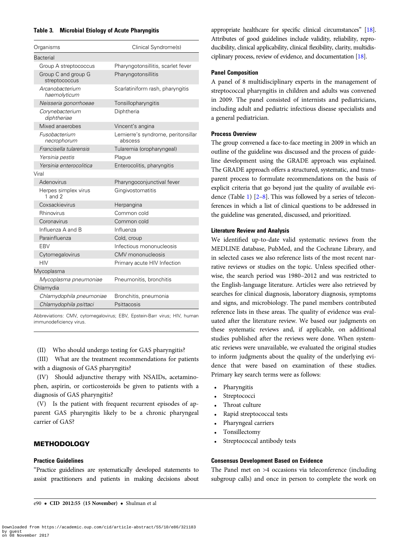#### <span id="page-4-0"></span>Table 3. Microbial Etiology of Acute Pharyngitis

| Organisms                            | Clinical Syndrome(s)                          |
|--------------------------------------|-----------------------------------------------|
| <b>Bacterial</b>                     |                                               |
| Group A streptococcus                | Pharyngotonsillitis, scarlet fever            |
| Group C and group G<br>streptococcus | Pharyngotonsillitis                           |
| Arcanobacterium<br>haemolyticum      | Scarlatiniform rash, pharyngitis              |
| Neisseria gonorrhoeae                | Tonsillopharyngitis                           |
| Corynebacterium<br>diphtheriae       | Diphtheria                                    |
| Mixed anaerobes                      | Vincent's angina                              |
| Fusobacterium<br>necrophorum         | Lemierre's syndrome, peritonsillar<br>abscess |
| Francisella tularensis               | Tularemia (oropharyngeal)                     |
| Yersinia pestis                      | Plague                                        |
| Yersinia enterocolitica              | Enterocolitis, pharyngitis                    |
| Viral                                |                                               |
| Adenovirus                           | Pharyngoconjunctival fever                    |
| Herpes simplex virus<br>1 and $2$    | Gingivostomatitis                             |
| Coxsackievirus                       | Herpangina                                    |
| Rhinovirus                           | Common cold                                   |
| Coronavirus                          | Common cold                                   |
| Influenza A and B                    | Influenza                                     |
| Parainfluenza                        | Cold, croup                                   |
| <b>FRV</b>                           | Infectious mononucleosis                      |
| Cytomegalovirus                      | CMV mononucleosis                             |
| <b>HIV</b>                           | Primary acute HIV Infection                   |
| Mycoplasma                           |                                               |
| Mycoplasma pneumoniae                | Pneumonitis, bronchitis                       |
| Chlamydia                            |                                               |
| Chlamydophila pneumoniae             | Bronchitis, pneumonia                         |
| Chlamydophila psittaci               | Psittacosis                                   |

Abbreviations: CMV, cytomegalovirus; EBV, Epstein-Barr virus; HIV, human immunodeficiency virus.

(II) Who should undergo testing for GAS pharyngitis?

(III) What are the treatment recommendations for patients with a diagnosis of GAS pharyngitis?

(IV) Should adjunctive therapy with NSAIDs, acetaminophen, aspirin, or corticosteroids be given to patients with a diagnosis of GAS pharyngitis?

(V) Is the patient with frequent recurrent episodes of apparent GAS pharyngitis likely to be a chronic pharyngeal carrier of GAS?

# **METHODOLOGY**

# Practice Guidelines

"Practice guidelines are systematically developed statements to assist practitioners and patients in making decisions about

appropriate healthcare for specific clinical circumstances" [\[18\]](#page-13-0). Attributes of good guidelines include validity, reliability, reproducibility, clinical applicability, clinical flexibility, clarity, multidisciplinary process, review of evidence, and documentation [\[18\]](#page-13-0).

#### Panel Composition

A panel of 8 multidisciplinary experts in the management of streptococcal pharyngitis in children and adults was convened in 2009. The panel consisted of internists and pediatricians, including adult and pediatric infectious disease specialists and a general pediatrician.

## Process Overview

The group convened a face-to-face meeting in 2009 in which an outline of the guideline was discussed and the process of guideline development using the GRADE approach was explained. The GRADE approach offers a structured, systematic, and transparent process to formulate recommendations on the basis of explicit criteria that go beyond just the quality of available evidence (Table [1\)](#page-2-0) [\[2](#page-13-0)–[8\]](#page-13-0). This was followed by a series of teleconferences in which a list of clinical questions to be addressed in the guideline was generated, discussed, and prioritized.

## Literature Review and Analysis

We identified up-to-date valid systematic reviews from the MEDLINE database, PubMed, and the Cochrane Library, and in selected cases we also reference lists of the most recent narrative reviews or studies on the topic. Unless specified otherwise, the search period was 1980–2012 and was restricted to the English-language literature. Articles were also retrieved by searches for clinical diagnosis, laboratory diagnosis, symptoms and signs, and microbiology. The panel members contributed reference lists in these areas. The quality of evidence was evaluated after the literature review. We based our judgments on these systematic reviews and, if applicable, on additional studies published after the reviews were done. When systematic reviews were unavailable, we evaluated the original studies to inform judgments about the quality of the underlying evidence that were based on examination of these studies. Primary key search terms were as follows:

- Pharyngitis
- **Streptococci**
- Throat culture
- Rapid streptococcal tests
- Pharyngeal carriers
- Tonsillectomy
- Streptococcal antibody tests

#### Consensus Development Based on Evidence

The Panel met on >4 occasions via teleconference (including subgroup calls) and once in person to complete the work on

e90 • CID 2012:55 (15 November) • Shulman et al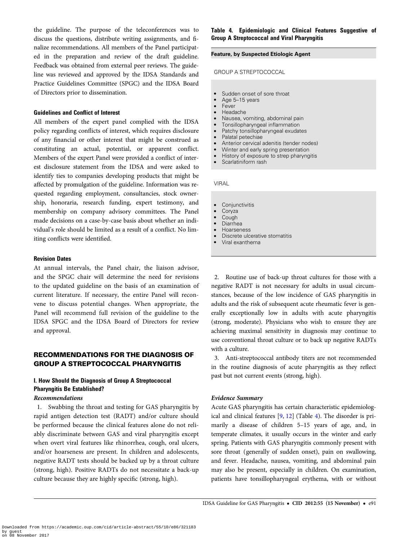<span id="page-5-0"></span>the guideline. The purpose of the teleconferences was to discuss the questions, distribute writing assignments, and finalize recommendations. All members of the Panel participated in the preparation and review of the draft guideline. Feedback was obtained from external peer reviews. The guideline was reviewed and approved by the IDSA Standards and Practice Guidelines Committee (SPGC) and the IDSA Board of Directors prior to dissemination.

#### Guidelines and Conflict of Interest

All members of the expert panel complied with the IDSA policy regarding conflicts of interest, which requires disclosure of any financial or other interest that might be construed as constituting an actual, potential, or apparent conflict. Members of the expert Panel were provided a conflict of interest disclosure statement from the IDSA and were asked to identify ties to companies developing products that might be affected by promulgation of the guideline. Information was requested regarding employment, consultancies, stock ownership, honoraria, research funding, expert testimony, and membership on company advisory committees. The Panel made decisions on a case-by-case basis about whether an individual's role should be limited as a result of a conflict. No limiting conflicts were identified.

#### Revision Dates

At annual intervals, the Panel chair, the liaison advisor, and the SPGC chair will determine the need for revisions to the updated guideline on the basis of an examination of current literature. If necessary, the entire Panel will reconvene to discuss potential changes. When appropriate, the Panel will recommend full revision of the guideline to the IDSA SPGC and the IDSA Board of Directors for review and approval.

# RECOMMENDATIONS FOR THE DIAGNOSIS OF GROUP A STREPTOCOCCAL PHARYNGITIS

# I. How Should the Diagnosis of Group A Streptococcal Pharyngitis Be Established?

# Recommendations

1. Swabbing the throat and testing for GAS pharyngitis by rapid antigen detection test (RADT) and/or culture should be performed because the clinical features alone do not reliably discriminate between GAS and viral pharyngitis except when overt viral features like rhinorrhea, cough, oral ulcers, and/or hoarseness are present. In children and adolescents, negative RADT tests should be backed up by a throat culture (strong, high). Positive RADTs do not necessitate a back-up culture because they are highly specific (strong, high).

## Table 4. Epidemiologic and Clinical Features Suggestive of Group A Streptococcal and Viral Pharyngitis

#### Feature, by Suspected Etiologic Agent

#### GROUP A STREPTOCOCCAL

- Sudden onset of sore throat
- Age 5-15 years
- Fever
- Headache
- Nausea, vomiting, abdominal pain • Tonsillopharyngeal inflammation
- Patchy tonsillopharyngeal exudates
- Palatal petechiae
- Anterior cervical adenitis (tender nodes)
- Winter and early spring presentation
- History of exposure to strep pharyngitis
- Scarlatiniform rash

#### VIRAL

- Conjunctivitis
- Coryza
- Cough
- Diarrhea
- Hoarseness
- Discrete ulcerative stomatitis
- Viral exanthema

2. Routine use of back-up throat cultures for those with a negative RADT is not necessary for adults in usual circumstances, because of the low incidence of GAS pharyngitis in adults and the risk of subsequent acute rheumatic fever is generally exceptionally low in adults with acute pharyngitis (strong, moderate). Physicians who wish to ensure they are achieving maximal sensitivity in diagnosis may continue to use conventional throat culture or to back up negative RADTs with a culture.

3. Anti-streptococcal antibody titers are not recommended in the routine diagnosis of acute pharyngitis as they reflect past but not current events (strong, high).

#### Evidence Summary

Acute GAS pharyngitis has certain characteristic epidemiological and clinical features [[9,](#page-13-0) [12](#page-13-0)] (Table 4). The disorder is primarily a disease of children 5–15 years of age, and, in temperate climates, it usually occurs in the winter and early spring. Patients with GAS pharyngitis commonly present with sore throat (generally of sudden onset), pain on swallowing, and fever. Headache, nausea, vomiting, and abdominal pain may also be present, especially in children. On examination, patients have tonsillopharyngeal erythema, with or without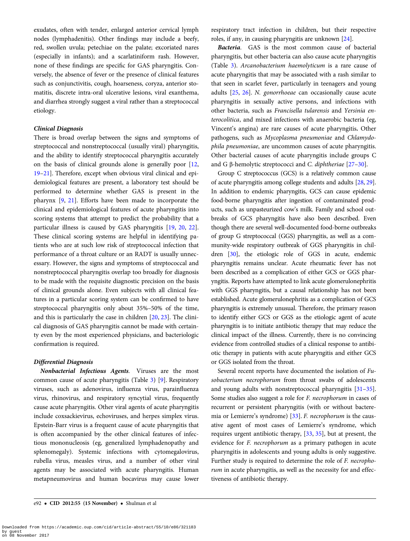exudates, often with tender, enlarged anterior cervical lymph nodes (lymphadenitis). Other findings may include a beefy, red, swollen uvula; petechiae on the palate; excoriated nares (especially in infants); and a scarlatiniform rash. However, none of these findings are specific for GAS pharyngitis. Conversely, the absence of fever or the presence of clinical features such as conjunctivitis, cough, hoarseness, coryza, anterior stomatitis, discrete intra-oral ulcerative lesions, viral exanthema, and diarrhea strongly suggest a viral rather than a streptococcal etiology.

#### Clinical Diagnosis

There is broad overlap between the signs and symptoms of streptococcal and nonstreptococcal (usually viral) pharyngitis, and the ability to identify streptococcal pharyngitis accurately on the basis of clinical grounds alone is generally poor [[12,](#page-13-0) [19](#page-13-0)–[21\]](#page-14-0). Therefore, except when obvious viral clinical and epidemiological features are present, a laboratory test should be performed to determine whether GAS is present in the pharynx [\[9,](#page-13-0) [21\]](#page-14-0). Efforts have been made to incorporate the clinical and epidemiological features of acute pharyngitis into scoring systems that attempt to predict the probability that a particular illness is caused by GAS pharyngitis [[19,](#page-13-0) [20,](#page-13-0) [22\]](#page-14-0). These clinical scoring systems are helpful in identifying patients who are at such low risk of streptococcal infection that performance of a throat culture or an RADT is usually unnecessary. However, the signs and symptoms of streptococcal and nonstreptococcal pharyngitis overlap too broadly for diagnosis to be made with the requisite diagnostic precision on the basis of clinical grounds alone. Even subjects with all clinical features in a particular scoring system can be confirmed to have streptococcal pharyngitis only about 35%–50% of the time, and this is particularly the case in children [[20,](#page-13-0) [23](#page-14-0)]. The clinical diagnosis of GAS pharyngitis cannot be made with certainty even by the most experienced physicians, and bacteriologic confirmation is required.

#### Differential Diagnosis

Nonbacterial Infectious Agents. Viruses are the most common cause of acute pharyngitis (Table [3](#page-4-0)) [\[9\]](#page-13-0). Respiratory viruses, such as adenovirus, influenza virus, parainfluenza virus, rhinovirus, and respiratory syncytial virus, frequently cause acute pharyngitis. Other viral agents of acute pharyngitis include coxsackievirus, echoviruses, and herpes simplex virus. Epstein-Barr virus is a frequent cause of acute pharyngitis that is often accompanied by the other clinical features of infectious mononucleosis (eg, generalized lymphadenopathy and splenomegaly). Systemic infections with cytomegalovirus, rubella virus, measles virus, and a number of other viral agents may be associated with acute pharyngitis. Human metapneumovirus and human bocavirus may cause lower

e92 • CID 2012:55 (15 November) • Shulman et al

respiratory tract infection in children, but their respective roles, if any, in causing pharyngitis are unknown [[24\]](#page-14-0).

Bacteria. GAS is the most common cause of bacterial pharyngitis, but other bacteria can also cause acute pharyngitis (Table [3\)](#page-4-0). Arcanobacterium haemolyticum is a rare cause of acute pharyngitis that may be associated with a rash similar to that seen in scarlet fever, particularly in teenagers and young adults [\[25](#page-14-0), [26](#page-14-0)]. N. gonorrhoeae can occasionally cause acute pharyngitis in sexually active persons, and infections with other bacteria, such as Francisella tularensis and Yersinia enterocolitica, and mixed infections with anaerobic bacteria (eg, Vincent's angina) are rare causes of acute pharyngitis. Other pathogens, such as Mycoplasma pneumoniae and Chlamydophila pneumoniae, are uncommon causes of acute pharyngitis. Other bacterial causes of acute pharyngitis include groups C and G β-hemolytic streptococci and C. diphtheriae [[27](#page-14-0)–[30\]](#page-14-0).

Group C streptococcus (GCS) is a relatively common cause of acute pharyngitis among college students and adults [[28,](#page-14-0) [29\]](#page-14-0). In addition to endemic pharyngitis, GCS can cause epidemic food-borne pharyngitis after ingestion of contaminated products, such as unpasteurized cow's milk. Family and school outbreaks of GCS pharyngitis have also been described. Even though there are several well-documented food-borne outbreaks of group G streptococcal (GGS) pharyngitis, as well as a community-wide respiratory outbreak of GGS pharyngitis in children [\[30\]](#page-14-0), the etiologic role of GGS in acute, endemic pharyngitis remains unclear. Acute rheumatic fever has not been described as a complication of either GCS or GGS pharyngitis. Reports have attempted to link acute glomerulonephritis with GGS pharyngitis, but a causal relationship has not been established. Acute glomerulonephritis as a complication of GCS pharyngitis is extremely unusual. Therefore, the primary reason to identify either GCS or GGS as the etiologic agent of acute pharyngitis is to initiate antibiotic therapy that may reduce the clinical impact of the illness. Currently, there is no convincing evidence from controlled studies of a clinical response to antibiotic therapy in patients with acute pharyngitis and either GCS or GGS isolated from the throat.

Several recent reports have documented the isolation of Fusobacterium necrophorum from throat swabs of adolescents and young adults with nonstreptococcal pharyngitis [\[31](#page-14-0)–[35\]](#page-14-0). Some studies also suggest a role for F. necrophorum in cases of recurrent or persistent pharyngitis (with or without bacteremia or Lemierre's syndrome) [\[33](#page-14-0)]. F. necrophorum is the causative agent of most cases of Lemierre's syndrome, which requires urgent antibiotic therapy, [\[33](#page-14-0), [35](#page-14-0)], but at present, the evidence for F. necrophorum as a primary pathogen in acute pharyngitis in adolescents and young adults is only suggestive. Further study is required to determine the role of F. necrophorum in acute pharyngitis, as well as the necessity for and effectiveness of antibiotic therapy.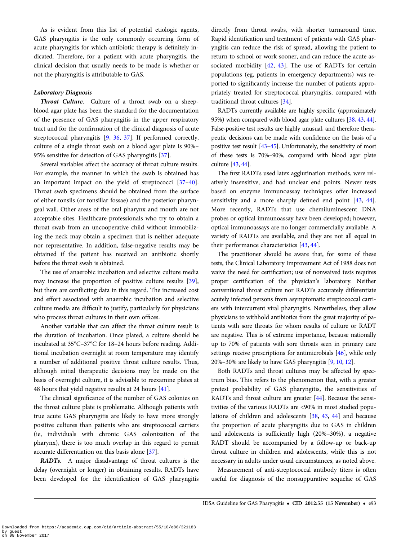As is evident from this list of potential etiologic agents, GAS pharyngitis is the only commonly occurring form of acute pharyngitis for which antibiotic therapy is definitely indicated. Therefore, for a patient with acute pharyngitis, the clinical decision that usually needs to be made is whether or not the pharyngitis is attributable to GAS.

#### Laboratory Diagnosis

Throat Culture. Culture of a throat swab on a sheepblood agar plate has been the standard for the documentation of the presence of GAS pharyngitis in the upper respiratory tract and for the confirmation of the clinical diagnosis of acute streptococcal pharyngitis [[9](#page-13-0), [36](#page-14-0), [37](#page-14-0)]. If performed correctly, culture of a single throat swab on a blood agar plate is 90%– 95% sensitive for detection of GAS pharyngitis [\[37](#page-14-0)].

Several variables affect the accuracy of throat culture results. For example, the manner in which the swab is obtained has an important impact on the yield of streptococci [\[37](#page-14-0)–[40\]](#page-14-0). Throat swab specimens should be obtained from the surface of either tonsils (or tonsillar fossae) and the posterior pharyngeal wall. Other areas of the oral pharynx and mouth are not acceptable sites. Healthcare professionals who try to obtain a throat swab from an uncooperative child without immobilizing the neck may obtain a specimen that is neither adequate nor representative. In addition, false-negative results may be obtained if the patient has received an antibiotic shortly before the throat swab is obtained.

The use of anaerobic incubation and selective culture media may increase the proportion of positive culture results [\[39\]](#page-14-0), but there are conflicting data in this regard. The increased cost and effort associated with anaerobic incubation and selective culture media are difficult to justify, particularly for physicians who process throat cultures in their own offices.

Another variable that can affect the throat culture result is the duration of incubation. Once plated, a culture should be incubated at 35°C–37°C for 18–24 hours before reading. Additional incubation overnight at room temperature may identify a number of additional positive throat culture results. Thus, although initial therapeutic decisions may be made on the basis of overnight culture, it is advisable to reexamine plates at 48 hours that yield negative results at 24 hours [[41\]](#page-14-0).

The clinical significance of the number of GAS colonies on the throat culture plate is problematic. Although patients with true acute GAS pharyngitis are likely to have more strongly positive cultures than patients who are streptococcal carriers (ie, individuals with chronic GAS colonization of the pharynx), there is too much overlap in this regard to permit accurate differentiation on this basis alone [[37\]](#page-14-0).

RADTs. A major disadvantage of throat cultures is the delay (overnight or longer) in obtaining results. RADTs have been developed for the identification of GAS pharyngitis

directly from throat swabs, with shorter turnaround time. Rapid identification and treatment of patients with GAS pharyngitis can reduce the risk of spread, allowing the patient to return to school or work sooner, and can reduce the acute associated morbidity [\[42](#page-14-0), [43](#page-14-0)]. The use of RADTs for certain populations (eg, patients in emergency departments) was reported to significantly increase the number of patients appropriately treated for streptococcal pharyngitis, compared with traditional throat cultures [\[34](#page-14-0)].

RADTs currently available are highly specific (approximately 95%) when compared with blood agar plate cultures [\[38](#page-14-0), [43,](#page-14-0) [44\]](#page-14-0). False-positive test results are highly unusual, and therefore therapeutic decisions can be made with confidence on the basis of a positive test result [\[43](#page-14-0)–[45](#page-14-0)]. Unfortunately, the sensitivity of most of these tests is 70%–90%, compared with blood agar plate culture [\[43,](#page-14-0) [44](#page-14-0)].

The first RADTs used latex agglutination methods, were relatively insensitive, and had unclear end points. Newer tests based on enzyme immunoassay techniques offer increased sensitivity and a more sharply defined end point [\[43](#page-14-0), [44\]](#page-14-0). More recently, RADTs that use chemiluminescent DNA probes or optical immunoassay have been developed; however, optical immunoassays are no longer commercially available. A variety of RADTs are available, and they are not all equal in their performance characteristics [[43,](#page-14-0) [44\]](#page-14-0).

The practitioner should be aware that, for some of these tests, the Clinical Laboratory Improvement Act of 1988 does not waive the need for certification; use of nonwaived tests requires proper certification of the physician's laboratory. Neither conventional throat culture nor RADTs accurately differentiate acutely infected persons from asymptomatic streptococcal carriers with intercurrent viral pharyngitis. Nevertheless, they allow physicians to withhold antibiotics from the great majority of patients with sore throats for whom results of culture or RADT are negative. This is of extreme importance, because nationally up to 70% of patients with sore throats seen in primary care settings receive prescriptions for antimicrobials [\[46\]](#page-14-0), while only 20%–30% are likely to have GAS pharyngitis [\[9,](#page-13-0) [10,](#page-13-0) [12\]](#page-13-0).

Both RADTs and throat cultures may be affected by spectrum bias. This refers to the phenomenon that, with a greater pretest probability of GAS pharyngitis, the sensitivities of RADTs and throat culture are greater [[44\]](#page-14-0). Because the sensitivities of the various RADTs are <90% in most studied populations of children and adolescents [\[38](#page-14-0), [43](#page-14-0), [44\]](#page-14-0) and because the proportion of acute pharyngitis due to GAS in children and adolescents is sufficiently high (20%–30%), a negative RADT should be accompanied by a follow-up or back-up throat culture in children and adolescents, while this is not necessary in adults under usual circumstances, as noted above.

Measurement of anti-streptococcal antibody titers is often useful for diagnosis of the nonsuppurative sequelae of GAS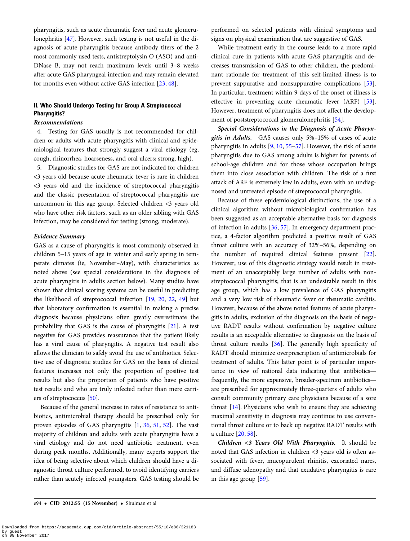pharyngitis, such as acute rheumatic fever and acute glomerulonephritis [\[47](#page-14-0)]. However, such testing is not useful in the diagnosis of acute pharyngitis because antibody titers of the 2 most commonly used tests, antistreptolysin O (ASO) and anti-DNase B, may not reach maximum levels until 3–8 weeks after acute GAS pharyngeal infection and may remain elevated for months even without active GAS infection [\[23](#page-14-0), [48\]](#page-14-0).

# II. Who Should Undergo Testing for Group A Streptococcal Pharyngitis?

#### Recommendations

4. Testing for GAS usually is not recommended for children or adults with acute pharyngitis with clinical and epidemiological features that strongly suggest a viral etiology (eg, cough, rhinorrhea, hoarseness, and oral ulcers; strong, high).

5. Diagnostic studies for GAS are not indicated for children <3 years old because acute rheumatic fever is rare in children <3 years old and the incidence of streptococcal pharyngitis and the classic presentation of streptococcal pharyngitis are uncommon in this age group. Selected children <3 years old who have other risk factors, such as an older sibling with GAS infection, may be considered for testing (strong, moderate).

#### Evidence Summary

GAS as a cause of pharyngitis is most commonly observed in children 5–15 years of age in winter and early spring in temperate climates (ie, November–May), with characteristics as noted above (see special considerations in the diagnosis of acute pharyngitis in adults section below). Many studies have shown that clinical scoring systems can be useful in predicting the likelihood of streptococcal infection [\[19](#page-13-0), [20](#page-13-0), [22](#page-14-0), [49](#page-14-0)] but that laboratory confirmation is essential in making a precise diagnosis because physicians often greatly overestimate the probability that GAS is the cause of pharyngitis [[21\]](#page-14-0). A test negative for GAS provides reassurance that the patient likely has a viral cause of pharyngitis. A negative test result also allows the clinician to safely avoid the use of antibiotics. Selective use of diagnostic studies for GAS on the basis of clinical features increases not only the proportion of positive test results but also the proportion of patients who have positive test results and who are truly infected rather than mere carriers of streptococcus [[50\]](#page-14-0).

Because of the general increase in rates of resistance to antibiotics, antimicrobial therapy should be prescribed only for proven episodes of GAS pharyngitis [[1](#page-13-0), [36,](#page-14-0) [51,](#page-14-0) [52](#page-14-0)]. The vast majority of children and adults with acute pharyngitis have a viral etiology and do not need antibiotic treatment, even during peak months. Additionally, many experts support the idea of being selective about which children should have a diagnostic throat culture performed, to avoid identifying carriers rather than acutely infected youngsters. GAS testing should be performed on selected patients with clinical symptoms and signs on physical examination that are suggestive of GAS.

While treatment early in the course leads to a more rapid clinical cure in patients with acute GAS pharyngitis and decreases transmission of GAS to other children, the predominant rationale for treatment of this self-limited illness is to prevent suppurative and nonsuppurative complications [\[53\]](#page-14-0). In particular, treatment within 9 days of the onset of illness is effective in preventing acute rheumatic fever (ARF) [\[53\]](#page-14-0). However, treatment of pharyngitis does not affect the development of poststreptococcal glomerulonephritis [[54\]](#page-14-0).

Special Considerations in the Diagnosis of Acute Pharyngitis in Adults. GAS causes only 5%–15% of cases of acute pharyngitis in adults [\[9,](#page-13-0) [10](#page-13-0), [55](#page-14-0)–[57\]](#page-14-0). However, the risk of acute pharyngitis due to GAS among adults is higher for parents of school-age children and for those whose occupation brings them into close association with children. The risk of a first attack of ARF is extremely low in adults, even with an undiagnosed and untreated episode of streptococcal pharyngitis.

Because of these epidemiological distinctions, the use of a clinical algorithm without microbiological confirmation has been suggested as an acceptable alternative basis for diagnosis of infection in adults [[36,](#page-14-0) [57](#page-14-0)]. In emergency department practice, a 4-factor algorithm predicted a positive result of GAS throat culture with an accuracy of 32%–56%, depending on the number of required clinical features present [\[22\]](#page-14-0). However, use of this diagnostic strategy would result in treatment of an unacceptably large number of adults with nonstreptococcal pharyngitis; that is an undesirable result in this age group, which has a low prevalence of GAS pharyngitis and a very low risk of rheumatic fever or rheumatic carditis. However, because of the above noted features of acute pharyngitis in adults, exclusion of the diagnosis on the basis of negative RADT results without confirmation by negative culture results is an acceptable alternative to diagnosis on the basis of throat culture results [[36\]](#page-14-0). The generally high specificity of RADT should minimize overprescription of antimicrobials for treatment of adults. This latter point is of particular importance in view of national data indicating that antibiotics frequently, the more expensive, broader-spectrum antibiotics are prescribed for approximately three-quarters of adults who consult community primary care physicians because of a sore throat [[14\]](#page-13-0). Physicians who wish to ensure they are achieving maximal sensitivity in diagnosis may continue to use conventional throat culture or to back up negative RADT results with a culture [[20,](#page-13-0) [58](#page-14-0)].

Children <3 Years Old With Pharyngitis. It should be noted that GAS infection in children <3 years old is often associated with fever, mucopurulent rhinitis, excoriated nares, and diffuse adenopathy and that exudative pharyngitis is rare in this age group [\[59](#page-14-0)].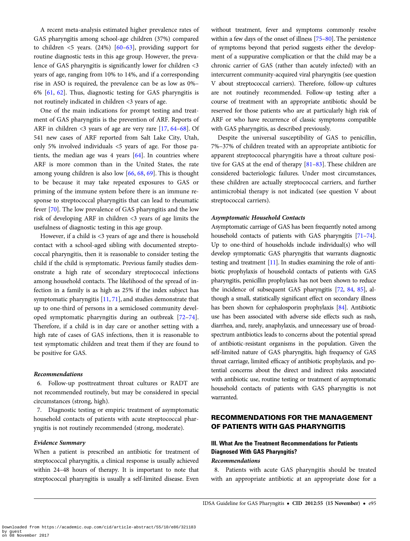A recent meta-analysis estimated higher prevalence rates of GAS pharyngitis among school-age children (37%) compared to children  $\leq$  years. (24%) [[60](#page-14-0)-[63\]](#page-14-0), providing support for routine diagnostic tests in this age group. However, the prevalence of GAS pharyngitis is significantly lower for children <3 years of age, ranging from 10% to 14%, and if a corresponding rise in ASO is required, the prevalence can be as low as 0%– 6% [[61](#page-14-0), [62\]](#page-14-0). Thus, diagnostic testing for GAS pharyngitis is not routinely indicated in children <3 years of age.

One of the main indications for prompt testing and treatment of GAS pharyngitis is the prevention of ARF. Reports of ARF in children <3 years of age are very rare [\[17](#page-13-0), [64](#page-15-0)–[68](#page-15-0)]. Of 541 new cases of ARF reported from Salt Lake City, Utah, only 5% involved individuals <5 years of age. For those patients, the median age was  $4$  years  $[64]$  $[64]$ . In countries where ARF is more common than in the United States, the rate among young children is also low [\[66,](#page-15-0) [68](#page-15-0), [69\]](#page-15-0). This is thought to be because it may take repeated exposures to GAS or priming of the immune system before there is an immune response to streptococcal pharyngitis that can lead to rheumatic fever [\[70](#page-15-0)]. The low prevalence of GAS pharyngitis and the low risk of developing ARF in children <3 years of age limits the usefulness of diagnostic testing in this age group.

However, if a child is <3 years of age and there is household contact with a school-aged sibling with documented streptococcal pharyngitis, then it is reasonable to consider testing the child if the child is symptomatic. Previous family studies demonstrate a high rate of secondary streptococcal infections among household contacts. The likelihood of the spread of infection in a family is as high as 25% if the index subject has symptomatic pharyngitis [\[11](#page-13-0), [71](#page-15-0)], and studies demonstrate that up to one-third of persons in a semiclosed community developed symptomatic pharyngitis during an outbreak [\[72](#page-15-0)–[74\]](#page-15-0). Therefore, if a child is in day care or another setting with a high rate of cases of GAS infections, then it is reasonable to test symptomatic children and treat them if they are found to be positive for GAS.

#### Recommendations

6. Follow-up posttreatment throat cultures or RADT are not recommended routinely, but may be considered in special circumstances (strong, high).

7. Diagnostic testing or empiric treatment of asymptomatic household contacts of patients with acute streptococcal pharyngitis is not routinely recommended (strong, moderate).

#### Evidence Summary

When a patient is prescribed an antibiotic for treatment of streptococcal pharyngitis, a clinical response is usually achieved within 24–48 hours of therapy. It is important to note that streptococcal pharyngitis is usually a self-limited disease. Even without treatment, fever and symptoms commonly resolve within a few days of the onset of illness [[75](#page-15-0)–[80](#page-15-0)]. The persistence of symptoms beyond that period suggests either the development of a suppurative complication or that the child may be a chronic carrier of GAS (rather than acutely infected) with an intercurrent community-acquired viral pharyngitis (see question V about streptococcal carriers). Therefore, follow-up cultures are not routinely recommended. Follow-up testing after a course of treatment with an appropriate antibiotic should be reserved for those patients who are at particularly high risk of ARF or who have recurrence of classic symptoms compatible with GAS pharyngitis, as described previously.

Despite the universal susceptibility of GAS to penicillin, 7%–37% of children treated with an appropriate antibiotic for apparent streptococcal pharyngitis have a throat culture positive for GAS at the end of therapy [[81](#page-15-0)–[83\]](#page-15-0). These children are considered bacteriologic failures. Under most circumstances, these children are actually streptococcal carriers, and further antimicrobial therapy is not indicated (see question V about streptococcal carriers).

#### Asymptomatic Household Contacts

Asymptomatic carriage of GAS has been frequently noted among household contacts of patients with GAS pharyngitis [\[71](#page-15-0)–[74\]](#page-15-0). Up to one-third of households include individual(s) who will develop symptomatic GAS pharyngitis that warrants diagnostic testing and treatment [\[11\]](#page-13-0). In studies examining the role of antibiotic prophylaxis of household contacts of patients with GAS pharyngitis, penicillin prophylaxis has not been shown to reduce the incidence of subsequent GAS pharyngitis [\[72](#page-15-0), [84,](#page-15-0) [85](#page-15-0)], although a small, statistically significant effect on secondary illness has been shown for cephalosporin prophylaxis [\[84](#page-15-0)]. Antibiotic use has been associated with adverse side effects such as rash, diarrhea, and, rarely, anaphylaxis, and unnecessary use of broadspectrum antibiotics leads to concerns about the potential spread of antibiotic-resistant organisms in the population. Given the self-limited nature of GAS pharyngitis, high frequency of GAS throat carriage, limited efficacy of antibiotic prophylaxis, and potential concerns about the direct and indirect risks associated with antibiotic use, routine testing or treatment of asymptomatic household contacts of patients with GAS pharyngitis is not warranted.

# RECOMMENDATIONS FOR THE MANAGEMENT OF PATIENTS WITH GAS PHARYNGITIS

# III. What Are the Treatment Recommendations for Patients Diagnosed With GAS Pharyngitis?

# Recommendations

8. Patients with acute GAS pharyngitis should be treated with an appropriate antibiotic at an appropriate dose for a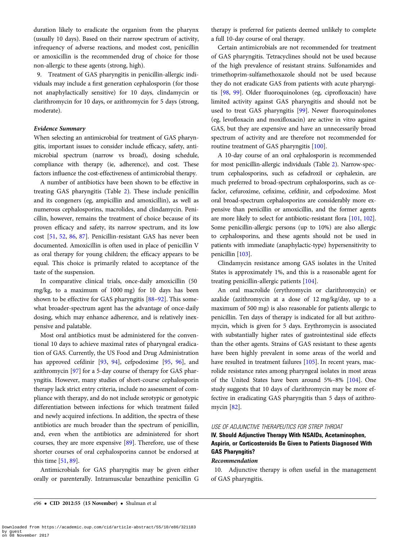duration likely to eradicate the organism from the pharynx (usually 10 days). Based on their narrow spectrum of activity, infrequency of adverse reactions, and modest cost, penicillin or amoxicillin is the recommended drug of choice for those non-allergic to these agents (strong, high).

9. Treatment of GAS pharyngitis in penicillin-allergic individuals may include a first generation cephalosporin (for those not anaphylactically sensitive) for 10 days, clindamycin or clarithromycin for 10 days, or azithromycin for 5 days (strong, moderate).

## Evidence Summary

When selecting an antimicrobial for treatment of GAS pharyngitis, important issues to consider include efficacy, safety, antimicrobial spectrum (narrow vs broad), dosing schedule, compliance with therapy (ie, adherence), and cost. These factors influence the cost-effectiveness of antimicrobial therapy.

A number of antibiotics have been shown to be effective in treating GAS pharyngitis (Table [2](#page-3-0)). These include penicillin and its congeners (eg, ampicillin and amoxicillin), as well as numerous cephalosporins, macrolides, and clindamycin. Penicillin, however, remains the treatment of choice because of its proven efficacy and safety, its narrow spectrum, and its low cost [\[51,](#page-14-0) [52,](#page-14-0) [86](#page-15-0), [87\]](#page-15-0). Penicillin-resistant GAS has never been documented. Amoxicillin is often used in place of penicillin V as oral therapy for young children; the efficacy appears to be equal. This choice is primarily related to acceptance of the taste of the suspension.

In comparative clinical trials, once-daily amoxicillin (50 mg/kg, to a maximum of 1000 mg) for 10 days has been shown to be effective for GAS pharyngitis [[88](#page-15-0)–[92\]](#page-15-0). This somewhat broader-spectrum agent has the advantage of once-daily dosing, which may enhance adherence, and is relatively inexpensive and palatable.

Most oral antibiotics must be administered for the conventional 10 days to achieve maximal rates of pharyngeal eradication of GAS. Currently, the US Food and Drug Administration has approved cefdinir [\[93,](#page-15-0) [94\]](#page-15-0), cefpodoxime [\[95](#page-15-0), [96](#page-15-0)], and azithromycin [\[97](#page-15-0)] for a 5-day course of therapy for GAS pharyngitis. However, many studies of short-course cephalosporin therapy lack strict entry criteria, include no assessment of compliance with therapy, and do not include serotypic or genotypic differentiation between infections for which treatment failed and newly acquired infections. In addition, the spectra of these antibiotics are much broader than the spectrum of penicillin, and, even when the antibiotics are administered for short courses, they are more expensive [\[89\]](#page-15-0). Therefore, use of these shorter courses of oral cephalosporins cannot be endorsed at this time [[51,](#page-14-0) [89\]](#page-15-0).

Antimicrobials for GAS pharyngitis may be given either orally or parenterally. Intramuscular benzathine penicillin G

therapy is preferred for patients deemed unlikely to complete a full 10-day course of oral therapy.

Certain antimicrobials are not recommended for treatment of GAS pharyngitis. Tetracyclines should not be used because of the high prevalence of resistant strains. Sulfonamides and trimethoprim-sulfamethoxazole should not be used because they do not eradicate GAS from patients with acute pharyngitis [[98,](#page-15-0) [99](#page-15-0)]. Older fluoroquinolones (eg, ciprofloxacin) have limited activity against GAS pharyngitis and should not be used to treat GAS pharyngitis [\[99](#page-15-0)]. Newer fluoroquinolones (eg, levofloxacin and moxifloxacin) are active in vitro against GAS, but they are expensive and have an unnecessarily broad spectrum of activity and are therefore not recommended for routine treatment of GAS pharyngitis [[100](#page-15-0)].

A 10-day course of an oral cephalosporin is recommended for most penicillin-allergic individuals (Table [2](#page-3-0)). Narrow-spectrum cephalosporins, such as cefadroxil or cephalexin, are much preferred to broad-spectrum cephalosporins, such as cefaclor, cefuroxime, cefixime, cefdinir, and cefpodoxime. Most oral broad-spectrum cephalosporins are considerably more expensive than penicillin or amoxicillin, and the former agents are more likely to select for antibiotic-resistant flora [\[101,](#page-15-0) [102\]](#page-15-0). Some penicillin-allergic persons (up to 10%) are also allergic to cephalosporins, and these agents should not be used in patients with immediate (anaphylactic-type) hypersensitivity to penicillin [\[103\]](#page-15-0).

Clindamycin resistance among GAS isolates in the United States is approximately 1%, and this is a reasonable agent for treating penicillin-allergic patients [[104](#page-15-0)].

An oral macrolide (erythromycin or clarithromycin) or azalide (azithromycin at a dose of 12 mg/kg/day, up to a maximum of 500 mg) is also reasonable for patients allergic to penicillin. Ten days of therapy is indicated for all but azithromycin, which is given for 5 days. Erythromycin is associated with substantially higher rates of gastrointestinal side effects than the other agents. Strains of GAS resistant to these agents have been highly prevalent in some areas of the world and have resulted in treatment failures [[105](#page-15-0)]. In recent years, macrolide resistance rates among pharyngeal isolates in most areas of the United States have been around 5%–8% [[104](#page-15-0)]. One study suggests that 10 days of clarithromycin may be more effective in eradicating GAS pharyngitis than 5 days of azithromycin [[82\]](#page-15-0).

#### USE OF ADJUNCTIVE THERAPEUTICS FOR STREP THROAT

# IV. Should Adjunctive Therapy With NSAIDs, Acetaminophen, Aspirin, or Corticosteroids Be Given to Patients Diagnosed With GAS Pharyngitis?

# Recommendation

10. Adjunctive therapy is often useful in the management of GAS pharyngitis.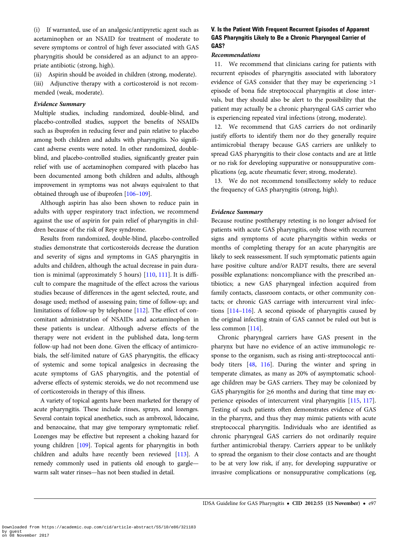(i) If warranted, use of an analgesic/antipyretic agent such as acetaminophen or an NSAID for treatment of moderate to severe symptoms or control of high fever associated with GAS pharyngitis should be considered as an adjunct to an appropriate antibiotic (strong, high).

(ii) Aspirin should be avoided in children (strong, moderate).

(iii) Adjunctive therapy with a corticosteroid is not recommended (weak, moderate).

# Evidence Summary

Multiple studies, including randomized, double-blind, and placebo-controlled studies, support the benefits of NSAIDs such as ibuprofen in reducing fever and pain relative to placebo among both children and adults with pharyngitis. No significant adverse events were noted. In other randomized, doubleblind, and placebo-controlled studies, significantly greater pain relief with use of acetaminophen compared with placebo has been documented among both children and adults, although improvement in symptoms was not always equivalent to that obtained through use of ibuprofen [\[106](#page-15-0)–[109\]](#page-16-0).

Although aspirin has also been shown to reduce pain in adults with upper respiratory tract infection, we recommend against the use of aspirin for pain relief of pharyngitis in children because of the risk of Reye syndrome.

Results from randomized, double-blind, placebo-controlled studies demonstrate that corticosteroids decrease the duration and severity of signs and symptoms in GAS pharyngitis in adults and children, although the actual decrease in pain duration is minimal (approximately 5 hours) [\[110](#page-16-0), [111](#page-16-0)]. It is difficult to compare the magnitude of the effect across the various studies because of differences in the agent selected, route, and dosage used; method of assessing pain; time of follow-up; and limitations of follow-up by telephone [\[112](#page-16-0)]. The effect of concomitant administration of NSAIDs and acetaminophen in these patients is unclear. Although adverse effects of the therapy were not evident in the published data, long-term follow-up had not been done. Given the efficacy of antimicrobials, the self-limited nature of GAS pharyngitis, the efficacy of systemic and some topical analgesics in decreasing the acute symptoms of GAS pharyngitis, and the potential of adverse effects of systemic steroids, we do not recommend use of corticosteroids in therapy of this illness.

A variety of topical agents have been marketed for therapy of acute pharyngitis. These include rinses, sprays, and lozenges. Several contain topical anesthetics, such as ambroxol, lidocaine, and benzocaine, that may give temporary symptomatic relief. Lozenges may be effective but represent a choking hazard for young children [[109\]](#page-16-0). Topical agents for pharyngitis in both children and adults have recently been reviewed [[113](#page-16-0)]. A remedy commonly used in patients old enough to gargle warm salt water rinses—has not been studied in detail.

# V. Is the Patient With Frequent Recurrent Episodes of Apparent GAS Pharyngitis Likely to Be a Chronic Pharyngeal Carrier of GAS?

#### Recommendations

11. We recommend that clinicians caring for patients with recurrent episodes of pharyngitis associated with laboratory evidence of GAS consider that they may be experiencing >1 episode of bona fide streptococcal pharyngitis at close intervals, but they should also be alert to the possibility that the patient may actually be a chronic pharyngeal GAS carrier who is experiencing repeated viral infections (strong, moderate).

12. We recommend that GAS carriers do not ordinarily justify efforts to identify them nor do they generally require antimicrobial therapy because GAS carriers are unlikely to spread GAS pharyngitis to their close contacts and are at little or no risk for developing suppurative or nonsuppurative complications (eg, acute rheumatic fever; strong, moderate).

13. We do not recommend tonsillectomy solely to reduce the frequency of GAS pharyngitis (strong, high).

#### Evidence Summary

Because routine posttherapy retesting is no longer advised for patients with acute GAS pharyngitis, only those with recurrent signs and symptoms of acute pharyngitis within weeks or months of completing therapy for an acute pharyngitis are likely to seek reassessment. If such symptomatic patients again have positive culture and/or RADT results, there are several possible explanations: noncompliance with the prescribed antibiotics; a new GAS pharyngeal infection acquired from family contacts, classroom contacts, or other community contacts; or chronic GAS carriage with intercurrent viral infections [\[114](#page-16-0)–[116](#page-16-0)]. A second episode of pharyngitis caused by the original infecting strain of GAS cannot be ruled out but is less common [[114\]](#page-16-0).

Chronic pharyngeal carriers have GAS present in the pharynx but have no evidence of an active immunologic response to the organism, such as rising anti-streptococcal antibody titers [\[48,](#page-14-0) [116](#page-16-0)]. During the winter and spring in temperate climates, as many as 20% of asymptomatic schoolage children may be GAS carriers. They may be colonized by GAS pharyngitis for  $\geq$ 6 months and during that time may experience episodes of intercurrent viral pharyngitis [\[115,](#page-16-0) [117\]](#page-16-0). Testing of such patients often demonstrates evidence of GAS in the pharynx, and thus they may mimic patients with acute streptococcal pharyngitis. Individuals who are identified as chronic pharyngeal GAS carriers do not ordinarily require further antimicrobial therapy. Carriers appear to be unlikely to spread the organism to their close contacts and are thought to be at very low risk, if any, for developing suppurative or invasive complications or nonsuppurative complications (eg,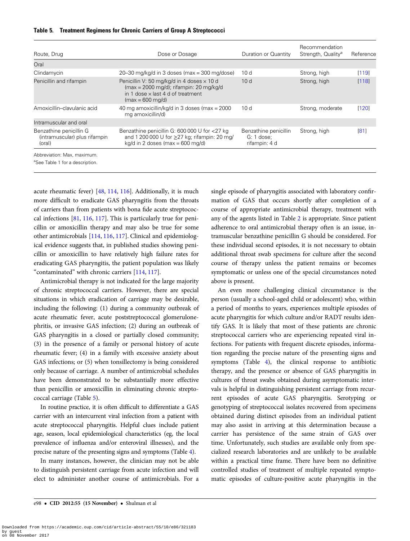<span id="page-12-0"></span>

|  | Table 5. Treatment Regimens for Chronic Carriers of Group A Streptococci |  |  |  |  |
|--|--------------------------------------------------------------------------|--|--|--|--|
|--|--------------------------------------------------------------------------|--|--|--|--|

| Route, Drug                                                                | Dose or Dosage                                                                                                                                                                    | Duration or Quantity                                   | Recommendation<br>Strength, Quality <sup>a</sup> | Reference |
|----------------------------------------------------------------------------|-----------------------------------------------------------------------------------------------------------------------------------------------------------------------------------|--------------------------------------------------------|--------------------------------------------------|-----------|
| Oral                                                                       |                                                                                                                                                                                   |                                                        |                                                  |           |
| Clindamycin                                                                | 20–30 mg/kg/d in 3 doses (max = $300$ mg/dose)                                                                                                                                    | 10d                                                    | Strong, high                                     | [119]     |
| Penicillin and rifampin                                                    | Penicillin V: 50 mg/kg/d in 4 doses $\times$ 10 d<br>$(max = 2000 \text{ mg/d})$ ; rifampin: 20 mg/kg/d<br>in 1 dose $\times$ last 4 d of treatment<br>$(max = 600 \text{ mg/d})$ | 10d                                                    | Strong, high                                     | [118]     |
| Amoxicillin-clavulanic acid                                                | 40 mg amoxicillin/kg/d in 3 doses (max = $2000$<br>mg amoxicillin/d)                                                                                                              | 10d                                                    | Strong, moderate                                 | [120]     |
| Intramuscular and oral                                                     |                                                                                                                                                                                   |                                                        |                                                  |           |
| Benzathine penicillin G<br>(intramuscular) plus rifampin<br>(oral)         | Benzathine penicillin G: 600 000 U for <27 kg<br>and 1 200 000 U for ≥27 kg; rifampin: 20 mg/<br>$kq/d$ in 2 doses (max = 600 mg/d)                                               | Benzathine penicillin<br>$G: 1$ dose:<br>rifampin: 4 d | Strong, high                                     | [81]      |
| Abbreviation: Max, maximum.<br><sup>a</sup> See Table 1 for a description. |                                                                                                                                                                                   |                                                        |                                                  |           |

acute rheumatic fever) [[48,](#page-14-0) [114](#page-16-0), [116\]](#page-16-0). Additionally, it is much more difficult to eradicate GAS pharyngitis from the throats of carriers than from patients with bona fide acute streptococcal infections [\[81](#page-15-0), [116](#page-16-0), [117\]](#page-16-0). This is particularly true for penicillin or amoxicillin therapy and may also be true for some other antimicrobials [[114,](#page-16-0) [116](#page-16-0), [117](#page-16-0)]. Clinical and epidemiological evidence suggests that, in published studies showing penicillin or amoxicillin to have relatively high failure rates for eradicating GAS pharyngitis, the patient population was likely "contaminated" with chronic carriers [\[114,](#page-16-0) [117\]](#page-16-0).

Antimicrobial therapy is not indicated for the large majority of chronic streptococcal carriers. However, there are special situations in which eradication of carriage may be desirable, including the following: (1) during a community outbreak of acute rheumatic fever, acute poststreptococcal glomerulonephritis, or invasive GAS infection; (2) during an outbreak of GAS pharyngitis in a closed or partially closed community; (3) in the presence of a family or personal history of acute rheumatic fever; (4) in a family with excessive anxiety about GAS infections; or (5) when tonsillectomy is being considered only because of carriage. A number of antimicrobial schedules have been demonstrated to be substantially more effective than penicillin or amoxicillin in eliminating chronic streptococcal carriage (Table 5).

In routine practice, it is often difficult to differentiate a GAS carrier with an intercurrent viral infection from a patient with acute streptococcal pharyngitis. Helpful clues include patient age, season, local epidemiological characteristics (eg, the local prevalence of influenza and/or enteroviral illnesses), and the precise nature of the presenting signs and symptoms (Table [4](#page-5-0)).

In many instances, however, the clinician may not be able to distinguish persistent carriage from acute infection and will elect to administer another course of antimicrobials. For a

single episode of pharyngitis associated with laboratory confirmation of GAS that occurs shortly after completion of a course of appropriate antimicrobial therapy, treatment with any of the agents listed in Table [2](#page-3-0) is appropriate. Since patient adherence to oral antimicrobial therapy often is an issue, intramuscular benzathine penicillin G should be considered. For these individual second episodes, it is not necessary to obtain additional throat swab specimens for culture after the second course of therapy unless the patient remains or becomes symptomatic or unless one of the special circumstances noted above is present.

An even more challenging clinical circumstance is the person (usually a school-aged child or adolescent) who, within a period of months to years, experiences multiple episodes of acute pharyngitis for which culture and/or RADT results identify GAS. It is likely that most of these patients are chronic streptococcal carriers who are experiencing repeated viral infections. For patients with frequent discrete episodes, information regarding the precise nature of the presenting signs and symptoms (Table [4](#page-5-0)), the clinical response to antibiotic therapy, and the presence or absence of GAS pharyngitis in cultures of throat swabs obtained during asymptomatic intervals is helpful in distinguishing persistent carriage from recurrent episodes of acute GAS pharyngitis. Serotyping or genotyping of streptococcal isolates recovered from specimens obtained during distinct episodes from an individual patient may also assist in arriving at this determination because a carrier has persistence of the same strain of GAS over time. Unfortunately, such studies are available only from specialized research laboratories and are unlikely to be available within a practical time frame. There have been no definitive controlled studies of treatment of multiple repeated symptomatic episodes of culture-positive acute pharyngitis in the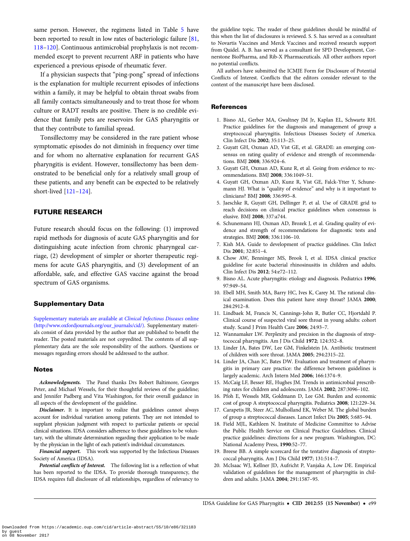<span id="page-13-0"></span>same person. However, the regimens listed in Table [5](#page-12-0) have been reported to result in low rates of bacteriologic failure [[81,](#page-15-0) [118](#page-16-0)–[120](#page-16-0)]. Continuous antimicrobial prophylaxis is not recommended except to prevent recurrent ARF in patients who have experienced a previous episode of rheumatic fever.

If a physician suspects that "ping-pong" spread of infections is the explanation for multiple recurrent episodes of infections within a family, it may be helpful to obtain throat swabs from all family contacts simultaneously and to treat those for whom culture or RADT results are positive. There is no credible evidence that family pets are reservoirs for GAS pharyngitis or that they contribute to familial spread.

Tonsillectomy may be considered in the rare patient whose symptomatic episodes do not diminish in frequency over time and for whom no alternative explanation for recurrent GAS pharyngitis is evident. However, tonsillectomy has been demonstrated to be beneficial only for a relatively small group of these patients, and any benefit can be expected to be relatively short-lived [[121](#page-16-0)–[124](#page-16-0)].

# FUTURE RESEARCH

Future research should focus on the following: (1) improved rapid methods for diagnosis of acute GAS pharyngitis and for distinguishing acute infection from chronic pharyngeal carriage, (2) development of simpler or shorter therapeutic regimens for acute GAS pharyngitis, and (3) development of an affordable, safe, and effective GAS vaccine against the broad spectrum of GAS organisms.

#### Supplementary Data

Supplementary materials are available at Clinical Infectious Diseases online (http://www.oxfordjournals.org/our\_journals/cid/). Supplementary materials consist of data provided by the author that are published to benefit the reader. The posted materials are not copyedited. The contents of all supplementary data are the sole responsibility of the authors. Questions or messages regarding errors should be addressed to the author.

#### **Notes**

Acknowledgments. The Panel thanks Drs Robert Baltimore, Georges Peter, and Michael Wessels, for their thoughtful reviews of the guideline; and Jennifer Padberg and Vita Washington, for their overall guidance in all aspects of the development of the guideline.

Disclaimer. It is important to realize that guidelines cannot always account for individual variation among patients. They are not intended to supplant physician judgment with respect to particular patients or special clinical situations. IDSA considers adherence to these guidelines to be voluntary, with the ultimate determination regarding their application to be made by the physician in the light of each patient's individual circumstances.

Financial support. This work was supported by the Infectious Diseases Society of America (IDSA).

Potential conflicts of Interest. The following list is a reflection of what has been reported to the IDSA. To provide thorough transparency, the IDSA requires full disclosure of all relationships, regardless of relevancy to the guideline topic. The reader of these guidelines should be mindful of this when the list of disclosures is reviewed. S. S. has served as a consultant to Novartis Vaccines and Merck Vaccines and received research support from Quidel. A. B. has served as a consultant for SPD Development, Cornerstone BioPharma, and Rib-X Pharmaceuticals. All other authors report no potential conflicts.

All authors have submitted the ICMJE Form for Disclosure of Potential Conflicts of Interest. Conflicts that the editors consider relevant to the content of the manuscript have been disclosed.

#### **References**

- 1. Bisno AL, Gerber MA, Gwaltney JM Jr, Kaplan EL, Schwartz RH. Practice guidelines for the diagnosis and management of group a streptococcal pharyngitis. Infectious Diseases Society of America. Clin Infect Dis 2002; 35:113–25.
- 2. Guyatt GH, Oxman AD, Vist GE, et al. GRADE: an emerging consensus on rating quality of evidence and strength of recommendations. BMJ 2008; 336:924–6.
- 3. Guyatt GH, Oxman AD, Kunz R, et al. Going from evidence to recommendations. BMJ 2008; 336:1049–51.
- 4. Guyatt GH, Oxman AD, Kunz R, Vist GE, Falck-Ytter Y, Schunemann HJ. What is "quality of evidence" and why is it important to clinicians? BMJ 2008; 336:995–8.
- 5. Jaeschke R, Guyatt GH, Dellinger P, et al. Use of GRADE grid to reach decisions on clinical practice guidelines when consensus is elusive. BMJ 2008; 337:a744.
- 6. Schunemann HJ, Oxman AD, Brozek J, et al. Grading quality of evidence and strength of recommendations for diagnostic tests and strategies. BMJ 2008; 336:1106–10.
- 7. Kish MA. Guide to development of practice guidelines. Clin Infect Dis 2001; 32:851–4.
- 8. Chow AW, Benninger MS, Brook I, et al. IDSA clinical practice guideline for acute bacterial rhinosinusitis in children and adults. Clin Infect Dis 2012; 54:e72–112.
- 9. Bisno AL. Acute pharyngitis: etiology and diagnosis. Pediatrics 1996; 97:949–54.
- 10. Ebell MH, Smith MA, Barry HC, Ives K, Carey M. The rational clinical examination. Does this patient have strep throat? JAMA 2000; 284:2912–8.
- 11. Lindbaek M, Francis N, Cannings-John R, Butler CC, Hjortdahl P. Clinical course of suspected viral sore throat in young adults: cohort study. Scand J Prim Health Care 2006; 24:93–7.
- 12. Wannamaker LW. Perplexity and precision in the diagnosis of streptococcal pharyngitis. Am J Dis Child 1972; 124:352–8.
- 13. Linder JA, Bates DW, Lee GM, Finkelstein JA. Antibiotic treatment of children with sore throat. JAMA 2005; 294:2315–22.
- 14. Linder JA, Chan JC, Bates DW. Evaluation and treatment of pharyngitis in primary care practice: the difference between guidelines is largely academic. Arch Intern Med 2006; 166:1374–9.
- 15. McCaig LF, Besser RE, Hughes JM. Trends in antimicrobial prescribing rates for children and adolescents. JAMA 2002; 287:3096–102.
- 16. Pfoh E, Wessels MR, Goldmann D, Lee GM. Burden and economic cost of group A streptococcal pharyngitis. Pediatrics 2008; 121:229–34.
- 17. Carapetis JR, Steer AC, Mulholland EK, Weber M. The global burden of group a streptococcal diseases. Lancet Infect Dis 2005; 5:685–94.
- 18. Field MJL, Kathleen N. Institute of Medicine Committee to Advise the Public Health Service on Clinical Practice Guidelines. Clinical practice guidelines: directions for a new program. Washington, DC: National Academy Press, 1990:52–77.
- 19. Breese BB. A simple scorecard for the tentative diagnosis of streptococcal pharyngitis. Am J Dis Child 1977; 131:514–7.
- 20. McIsaac WJ, Kellner JD, Aufricht P, Vanjaka A, Low DE. Empirical validation of guidelines for the management of pharyngitis in children and adults. JAMA 2004; 291:1587–95.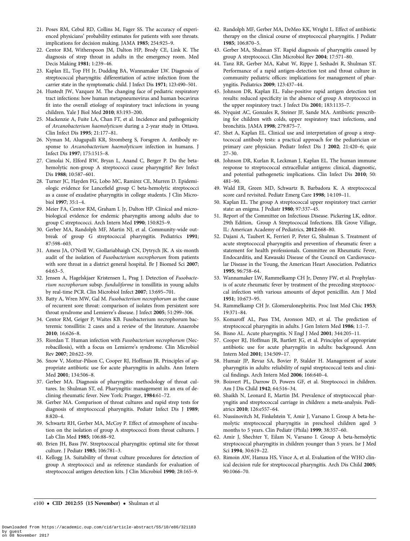- <span id="page-14-0"></span>21. Poses RM, Cebul RD, Collins M, Fager SS. The accuracy of experienced physicians' probability estimates for patients with sore throats. implications for decision making. JAMA 1985; 254:925–9.
- 22. Centor RM, Witherspoon JM, Dalton HP, Brody CE, Link K. The diagnosis of strep throat in adults in the emergency room. Med Decis Making 1981; 1:239–46.
- 23. Kaplan EL, Top FH Jr, Dudding BA, Wannamaker LW. Diagnosis of streptococcal pharyngitis: differentiation of active infection from the carrier state in the symptomatic child. J Infect Dis 1971; 123:490–501.
- 24. Hustedt JW, Vazquez M. The changing face of pediatric respiratory tract infections: how human metapneumovirus and human bocavirus fit into the overall etiology of respiratory tract infections in young children. Yale J Biol Med 2010; 83:193–200.
- 25. Mackenzie A, Fuite LA, Chan FT, et al. Incidence and pathogenicity of Arcanobacterium haemolyticum during a 2-year study in Ottawa. Clin Infect Dis 1995; 21:177–81.
- 26. Nyman M, Alugupalli KR, Stromberg S, Forsgren A. Antibody response to Arcanobacterium haemolyticum infection in humans. J Infect Dis 1997; 175:1515–8.
- 27. Cimolai N, Elford RW, Bryan L, Anand C, Berger P. Do the betahemolytic non-group A streptococci cause pharyngitis? Rev Infect Dis 1988; 10:587–601.
- 28. Turner JC, Hayden FG, Lobo MC, Ramirez CE, Murren D. Epidemiologic evidence for Lancefield group C beta-hemolytic streptococci as a cause of exudative pharyngitis in college students. J Clin Microbiol 1997; 35:1–4.
- 29. Meier FA, Centor RM, Graham L Jr, Dalton HP. Clinical and microbiological evidence for endemic pharyngitis among adults due to group C streptococci. Arch Intern Med 1990; 150:825–9.
- 30. Gerber MA, Randolph MF, Martin NJ, et al. Community-wide outbreak of group G streptococcal pharyngitis. Pediatrics 1991; 87:598–603.
- 31. Amess JA, O'Neill W, Giollariabhaigh CN, Dytrych JK. A six-month audit of the isolation of Fusobacterium necrophorum from patients with sore throat in a district general hospital. Br J Biomed Sci 2007; 64:63–5.
- 32. Jensen A, Hagelskjaer Kristensen L, Prag J. Detection of Fusobacterium necrophorum subsp. funduliforme in tonsillitis in young adults by real-time PCR. Clin Microbiol Infect 2007; 13:695–701.
- 33. Batty A, Wren MW, Gal M. Fusobacterium necrophorum as the cause of recurrent sore throat: comparison of isolates from persistent sore throat syndrome and Lemierre's disease. J Infect 2005; 51:299–306.
- 34. Centor RM, Geiger P, Waites KB. Fusobacterium necrophorum bacteremic tonsillitis: 2 cases and a review of the literature. Anaerobe 2010; 16:626–8.
- 35. Riordan T. Human infection with Fusobacterium necrophorum (Necrobacillosis), with a focus on Lemierre's syndrome. Clin Microbiol Rev 2007; 20:622–59.
- 36. Snow V, Mottur-Pilson C, Cooper RJ, Hoffman JR. Principles of appropriate antibiotic use for acute pharyngitis in adults. Ann Intern Med 2001; 134:506–8.
- 37. Gerber MA. Diagnosis of pharyngitis: methodology of throat cultures. In: Shulman ST, ed. Pharyngitis: management in an era of declining rheumatic fever. New York: Praeger, 1984:61–72.
- 38. Gerber MA. Comparison of throat cultures and rapid strep tests for diagnosis of streptococcal pharyngitis. Pediatr Infect Dis J 1989; 8:820–4.
- 39. Schwartz RH, Gerber MA, McCoy P. Effect of atmosphere of incubation on the isolation of group A streptococci from throat cultures. J Lab Clin Med 1985; 106:88–92.
- 40. Brien JH, Bass JW. Streptococcal pharyngitis: optimal site for throat culture. J Pediatr 1985; 106:781–3.
- 41. Kellogg JA. Suitability of throat culture procedures for detection of group A streptococci and as reference standards for evaluation of streptococcal antigen detection kits. J Clin Microbiol 1990; 28:165–9.
- 42. Randolph MF, Gerber MA, DeMeo KK, Wright L. Effect of antibiotic therapy on the clinical course of streptococcal pharyngitis. J Pediatr 1985; 106:870–5.
- 43. Gerber MA, Shulman ST. Rapid diagnosis of pharyngitis caused by group A streptococci. Clin Microbiol Rev 2004; 17:571–80.
- 44. Tanz RR, Gerber MA, Kabat W, Rippe J, Seshadri R, Shulman ST. Performance of a rapid antigen-detection test and throat culture in community pediatric offices: implications for management of pharyngitis. Pediatrics 2009; 123:437–44.
- 45. Johnson DR, Kaplan EL. False-positive rapid antigen detection test results: reduced specificity in the absence of group A streptococci in the upper respiratory tract. J Infect Dis 2001; 183:1135–7.
- 46. Nyquist AC, Gonzales R, Steiner JF, Sande MA. Antibiotic prescribing for children with colds, upper respiratory tract infections, and bronchitis. JAMA 1998; 279:875–7.
- 47. Shet A, Kaplan EL. Clinical use and interpretation of group a streptococcal antibody tests: a practical approach for the pediatrician or primary care physician. Pediatr Infect Dis J 2002; 21:420–6; quiz 27–30.
- 48. Johnson DR, Kurlan R, Leckman J, Kaplan EL. The human immune response to streptococcal extracellular antigens: clinical, diagnostic, and potential pathogenetic implications. Clin Infect Dis 2010; 50: 481–90.
- 49. Wald ER, Green MD, Schwartz B, Barbadora K. A streptococcal score card revisited. Pediatr Emerg Care 1998; 14:109–11.
- 50. Kaplan EL. The group A streptococcal upper respiratory tract carrier state: an enigma. J Pediatr 1980; 97:337–45.
- 51. Report of the Committee on Infectious Disease. Pickering LK, editor. 29th Edition, Group A Streptococcal Infections. Elk Grove Village, IL: American Academy of Pediatrics, 2012:668–80.
- 52. Dajani A, Taubert K, Ferrieri P, Peter G, Shulman S. Treatment of acute streptococcal pharyngitis and prevention of rheumatic fever: a statement for health professionals. Committee on Rheumatic Fever, Endocarditis, and Kawasaki Disease of the Council on Cardiovascular Disease in the Young, the American Heart Association. Pediatrics 1995; 96:758–64.
- 53. Wannamaker LW, Rammelkamp CH Jr, Denny FW, et al. Prophylaxis of acute rheumatic fever by treatment of the preceding streptococcal infection with various amounts of depot penicillin. Am J Med 1951; 10:673–95.
- 54. Rammelkamp CH Jr. Glomerulonephritis. Proc Inst Med Chic 1953; 19:371–84.
- 55. Komaroff AL, Pass TM, Aronson MD, et al. The prediction of streptococcal pharyngitis in adults. J Gen Intern Med 1986; 1:1–7.
- 56. Bisno AL. Acute pharyngitis. N Engl J Med 2001; 344:205–11.
- 57. Cooper RJ, Hoffman JR, Bartlett JG, et al. Principles of appropriate antibiotic use for acute pharyngitis in adults: background. Ann Intern Med 2001; 134:509–17.
- 58. Humair JP, Revaz SA, Bovier P, Stalder H. Management of acute pharyngitis in adults: reliability of rapid streptococcal tests and clinical findings. Arch Intern Med 2006; 166:640–4.
- 59. Boisvert PL, Darrow D, Powers GF, et al. Streptococci in children. Am J Dis Child 1942; 64:516–34.
- 60. Shaikh N, Leonard E, Martin JM. Prevalence of streptococcal pharyngitis and streptococcal carriage in children: a meta-analysis. Pediatrics 2010; 126:e557–64.
- 61. Nussinovitch M, Finkelstein Y, Amir J, Varsano I. Group A beta-hemolytic streptococcal pharyngitis in preschool children aged 3 months to 5 years. Clin Pediatr (Phila) 1999; 38:357–60.
- 62. Amir J, Shechter Y, Eilam N, Varsano I. Group A beta-hemolytic streptococcal pharyngitis in children younger than 5 years. Isr J Med Sci 1994; 30:619–22.
- 63. Rimoin AW, Hamza HS, Vince A, et al. Evaluation of the WHO clinical decision rule for streptococcal pharyngitis. Arch Dis Child 2005; 90:1066–70.

e100 • CID 2012:55 (15 November) • Shulman et al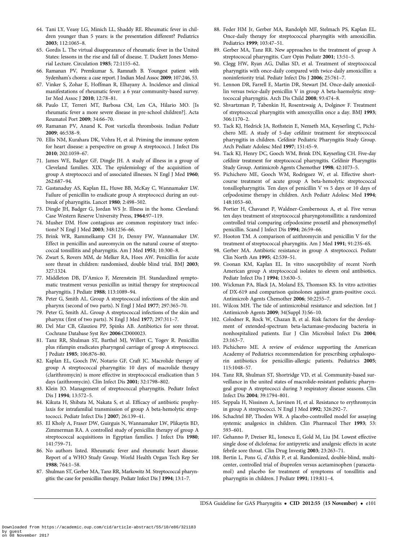- <span id="page-15-0"></span>64. Tani LY, Veasy LG, Minich LL, Shaddy RE. Rheumatic fever in children younger than 5 years: is the presentation different? Pediatrics 2003; 112:1065–8.
- 65. Gordis L. The virtual disappearance of rheumatic fever in the United States: lessons in the rise and fall of disease. T. Duckett Jones Memorial Lecture. Circulation 1985; 72:1155–62.
- 66. Ramanan PV, Premkumar S, Ramnath B. Youngest patient with Sydenham's chorea: a case report. J Indian Med Assoc 2009; 107:246, 53.
- 67. Vinker S, Zohar E, Hoffman R, Elhayany A. Incidence and clinical manifestations of rheumatic fever: a 6 year community-based survey. Isr Med Assoc J 2010; 12:78–81.
- 68. Paulo LT, Terreri MT, Barbosa CM, Len CA, Hilario MO. [Is rheumatic fever a more severe disease in pre-school children?]. Acta Reumatol Port 2009; 34:66–70.
- 69. Ramanan PV, Anand K. Post varicella thrombosis. Indian Pediatr 2009; 46:538–9.
- 70. Ellis NM, Kurahara DK, Vohra H, et al. Priming the immune system for heart disease: a perspective on group A streptococci. J Infect Dis 2010; 202:1059–67.
- 71. James WE, Badger GF, Dingle JH. A study of illness in a group of Cleveland families. XIX. The epidemiology of the acquisition of group A streptococci and of associated illnesses. N Engl J Med 1960; 262:687–94.
- 72. Gastanaduy AS, Kaplan EL, Huwe BB, McKay C, Wannamaker LW. Failure of penicillin to eradicate group A streptococci during an outbreak of pharyngitis. Lancet 1980; 2:498–502.
- 73. Dingle JH, Badger G, Jordan WS Jr. Illness in the home. Cleveland: Case Western Reserve University Press, 1964:97–119.
- 74. Musher DM. How contagious are common respiratory tract infections? N Engl J Med 2003; 348:1256–66.
- 75. Brink WR, Rammelkamp CH Jr, Denny FW, Wannamaker LW. Effect in penicillin and aureomycin on the natural course of streptococcal tonsillitis and pharyngitis. Am J Med 1951; 10:300–8.
- 76. Zwart S, Rovers MM, de Melker RA, Hoes AW. Penicillin for acute sore throat in children: randomised, double blind trial. BMJ 2003; 327:1324.
- 77. Middleton DB, D'Amico F, Merenstein JH. Standardized symptomatic treatment versus penicillin as initial therapy for streptococcal pharyngitis. J Pediatr 1988; 113:1089–94.
- 78. Peter G, Smith AL. Group A streptococcal infections of the skin and pharynx (second of two parts). N Engl J Med 1977; 297:365–70.
- 79. Peter G, Smith AL. Group A streptococcal infections of the skin and pharynx (first of two parts). N Engl J Med 1977; 297:311–7.
- 80. Del Mar CB, Glasziou PP, Spinks AB. Antibiotics for sore throat. Cochrane Database Syst Rev 2006:CD000023.
- 81. Tanz RR, Shulman ST, Barthel MJ, Willert C, Yogev R. Penicillin plus rifampin eradicates pharyngeal carriage of group A streptococci. J Pediatr 1985; 106:876–80.
- 82. Kaplan EL, Gooch IW, Notario GF, Craft JC. Macrolide therapy of group A streptococcal pharyngitis: 10 days of macrolide therapy (clarithromycin) is more effective in streptococcal eradication than 5 days (azithromycin). Clin Infect Dis 2001; 32:1798–802.
- 83. Klein JO. Management of streptococcal pharyngitis. Pediatr Infect Dis J 1994; 13:572–5.
- 84. Kikuta H, Shibata M, Nakata S, et al. Efficacy of antibiotic prophylaxis for intrafamilial transmission of group A beta-hemolytic streptococci. Pediatr Infect Dis J 2007; 26:139–41.
- 85. El Kholy A, Fraser DW, Guirguis N, Wannamaker LW, Plikaytis BD, Zimmerman RA. A controlled study of penicillin therapy of group A streptococcal acquisitions in Egyptian families. J Infect Dis 1980; 141:759–71.
- 86. No authors listed. Rheumatic fever and rheumatic heart disease. Report of a WHO Study Group. World Health Organ Tech Rep Ser 1988; 764:1–58.
- 87. Shulman ST, Gerber MA, Tanz RR, Markowitz M. Streptococcal pharyngitis: the case for penicillin therapy. Pediatr Infect Dis J 1994; 13:1–7.
- 88. Feder HM Jr, Gerber MA, Randolph MF, Stelmach PS, Kaplan EL. Once-daily therapy for streptococcal pharyngitis with amoxicillin. Pediatrics 1999; 103:47–51.
- 89. Gerber MA, Tanz RR. New approaches to the treatment of group A streptococcal pharyngitis. Curr Opin Pediatr 2001; 13:51–5.
- 90. Clegg HW, Ryan AG, Dallas SD, et al. Treatment of streptococcal pharyngitis with once-daily compared with twice-daily amoxicillin: a noninferiority trial. Pediatr Infect Dis J 2006; 25:761–7.
- 91. Lennon DR, Farrell E, Martin DR, Stewart JM. Once-daily amoxicillin versus twice-daily penicillin V in group A beta-haemolytic streptococcal pharyngitis. Arch Dis Child 2008; 93:474–8.
- 92. Shvartzman P, Tabenkin H, Rosentzwaig A, Dolginov F. Treatment of streptococcal pharyngitis with amoxycillin once a day. BMJ 1993; 306:1170–2.
- 93. Tack KJ, Hedrick JA, Rothstein E, Nemeth MA, Keyserling C, Pichichero ME. A study of 5-day cefdinir treatment for streptococcal pharyngitis in children. Cefdinir Pediatric Pharyngitis Study Group. Arch Pediatr Adolesc Med 1997; 151:45–9.
- 94. Tack KJ, Henry DC, Gooch WM, Brink DN, Keyserling CH. Five-day cefdinir treatment for streptococcal pharyngitis. Cefdinir Pharyngitis Study Group. Antimicrob Agents Chemother 1998; 42:1073–5.
- 95. Pichichero ME, Gooch WM, Rodriguez W, et al. Effective shortcourse treatment of acute group A beta-hemolytic streptococcal tonsillopharyngitis. Ten days of penicillin V vs 5 days or 10 days of cefpodoxime therapy in children. Arch Pediatr Adolesc Med 1994; 148:1053–60.
- 96. Portier H, Chavanet P, Waldner-Combernoux A, et al. Five versus ten days treatment of streptococcal pharyngotonsillitis: a randomized controlled trial comparing cefpodoxime proxetil and phenoxymethyl penicillin. Scand J Infect Dis 1994; 26:59–66.
- 97. Hooton TM. A comparison of azithromycin and penicillin V for the treatment of streptococcal pharyngitis. Am J Med 1991; 91:23S–6S.
- 98. Gerber MA. Antibiotic resistance in group A streptococci. Pediatr Clin North Am 1995; 42:539–51.
- 99. Coonan KM, Kaplan EL. In vitro susceptibility of recent North American group A streptococcal isolates to eleven oral antibiotics. Pediatr Infect Dis J 1994; 13:630–5.
- 100. Wickman PA, Black JA, Moland ES, Thomson KS. In vitro activities of DX-619 and comparison quinolones against gram-positive cocci. Antimicrob Agents Chemother 2006; 50:2255–7.
- 101. Wilcox MH. The tide of antimicrobial resistance and selection. Int J Antimicrob Agents 2009; 34(Suppl 3):S6–10.
- 102. Colodner R, Rock W, Chazan B, et al. Risk factors for the development of extended-spectrum beta-lactamase-producing bacteria in nonhospitalized patients. Eur J Clin Microbiol Infect Dis 2004; 23:163–7.
- 103. Pichichero ME. A review of evidence supporting the American Academy of Pediatrics recommendation for prescribing cephalosporin antibiotics for penicillin-allergic patients. Pediatrics 2005; 115:1048–57.
- 104. Tanz RR, Shulman ST, Shortridge VD, et al. Community-based surveillance in the united states of macrolide-resistant pediatric pharyngeal group A streptococci during 3 respiratory disease seasons. Clin Infect Dis 2004; 39:1794–801.
- 105. Seppala H, Nissinen A, Jarvinen H, et al. Resistance to erythromycin in group A streptococci. N Engl J Med 1992; 326:292–7.
- 106. Schachtel BP, Thoden WR. A placebo-controlled model for assaying systemic analgesics in children. Clin Pharmacol Ther 1993; 53: 593–601.
- 107. Gehanno P, Dreiser RL, Ionescu E, Gold M, Liu JM. Lowest effective single dose of diclofenac for antipyretic and analgesic effects in acute febrile sore throat. Clin Drug Investig 2003; 23:263–71.
- 108. Bertin L, Pons G, d'Athis P, et al. Randomized, double-blind, multicenter, controlled trial of ibuprofen versus acetaminophen (paracetamol) and placebo for treatment of symptoms of tonsillitis and pharyngitis in children. J Pediatr 1991; 119:811–4.